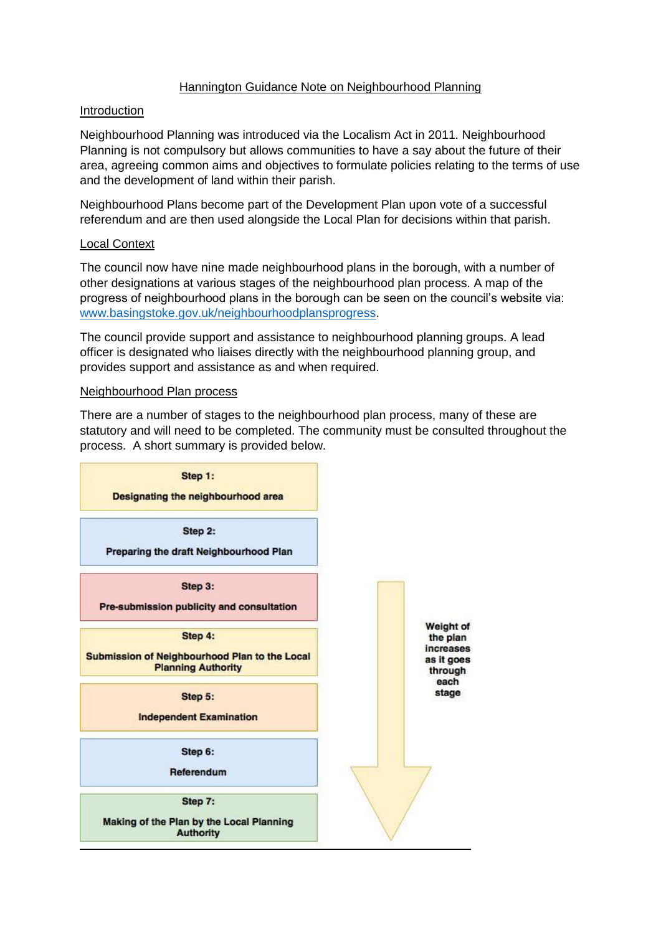## Hannington Guidance Note on Neighbourhood Planning

### Introduction

Neighbourhood Planning was introduced via the Localism Act in 2011. Neighbourhood Planning is not compulsory but allows communities to have a say about the future of their area, agreeing common aims and objectives to formulate policies relating to the terms of use and the development of land within their parish.

Neighbourhood Plans become part of the Development Plan upon vote of a successful referendum and are then used alongside the Local Plan for decisions within that parish.

## Local Context

The council now have nine made neighbourhood plans in the borough, with a number of other designations at various stages of the neighbourhood plan process. A map of the progress of neighbourhood plans in the borough can be seen on the council's website via: [www.basingstoke.gov.uk/neighbourhoodplansprogress.](http://www.basingstoke.gov.uk/neighbourhoodplansprogress)

The council provide support and assistance to neighbourhood planning groups. A lead officer is designated who liaises directly with the neighbourhood planning group, and provides support and assistance as and when required.

#### Neighbourhood Plan process

There are a number of stages to the neighbourhood plan process, many of these are statutory and will need to be completed. The community must be consulted throughout the process. A short summary is provided below.

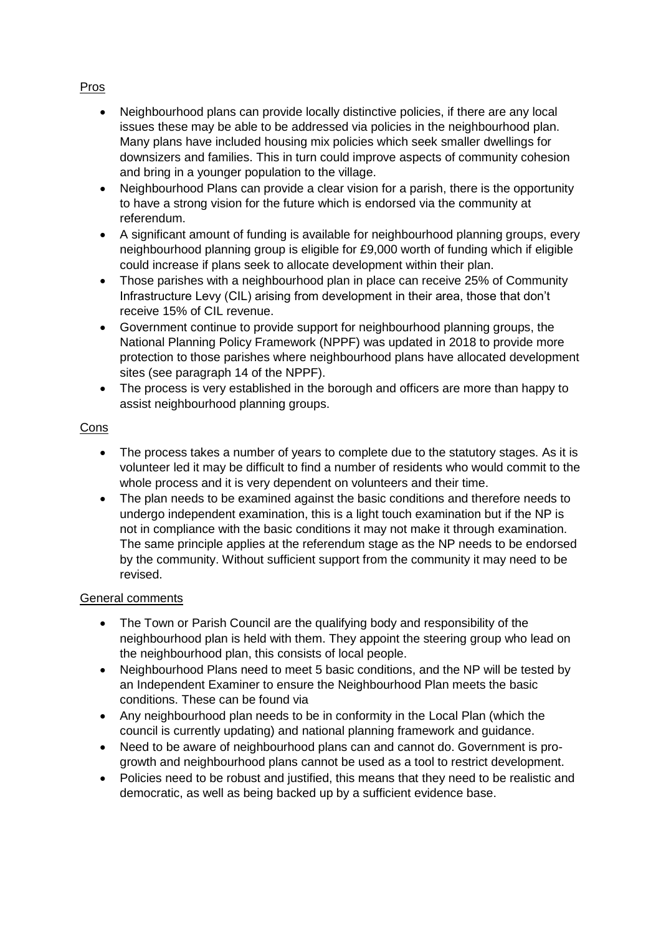# Pros

- Neighbourhood plans can provide locally distinctive policies, if there are any local issues these may be able to be addressed via policies in the neighbourhood plan. Many plans have included housing mix policies which seek smaller dwellings for downsizers and families. This in turn could improve aspects of community cohesion and bring in a younger population to the village.
- Neighbourhood Plans can provide a clear vision for a parish, there is the opportunity to have a strong vision for the future which is endorsed via the community at referendum.
- A significant amount of funding is available for neighbourhood planning groups, every neighbourhood planning group is eligible for £9,000 worth of funding which if eligible could increase if plans seek to allocate development within their plan.
- Those parishes with a neighbourhood plan in place can receive 25% of Community Infrastructure Levy (CIL) arising from development in their area, those that don't receive 15% of CIL revenue.
- Government continue to provide support for neighbourhood planning groups, the National Planning Policy Framework (NPPF) was updated in 2018 to provide more protection to those parishes where neighbourhood plans have allocated development sites (see paragraph 14 of the NPPF).
- The process is very established in the borough and officers are more than happy to assist neighbourhood planning groups.

# Cons

- The process takes a number of years to complete due to the statutory stages. As it is volunteer led it may be difficult to find a number of residents who would commit to the whole process and it is very dependent on volunteers and their time.
- The plan needs to be examined against the basic conditions and therefore needs to undergo independent examination, this is a light touch examination but if the NP is not in compliance with the basic conditions it may not make it through examination. The same principle applies at the referendum stage as the NP needs to be endorsed by the community. Without sufficient support from the community it may need to be revised.

## General comments

- The Town or Parish Council are the qualifying body and responsibility of the neighbourhood plan is held with them. They appoint the steering group who lead on the neighbourhood plan, this consists of local people.
- Neighbourhood Plans need to meet 5 basic conditions, and the NP will be tested by an Independent Examiner to ensure the Neighbourhood Plan meets the basic conditions. These can be found via
- Any neighbourhood plan needs to be in conformity in the Local Plan (which the council is currently updating) and national planning framework and guidance.
- Need to be aware of neighbourhood plans can and cannot do. Government is progrowth and neighbourhood plans cannot be used as a tool to restrict development.
- Policies need to be robust and justified, this means that they need to be realistic and democratic, as well as being backed up by a sufficient evidence base.